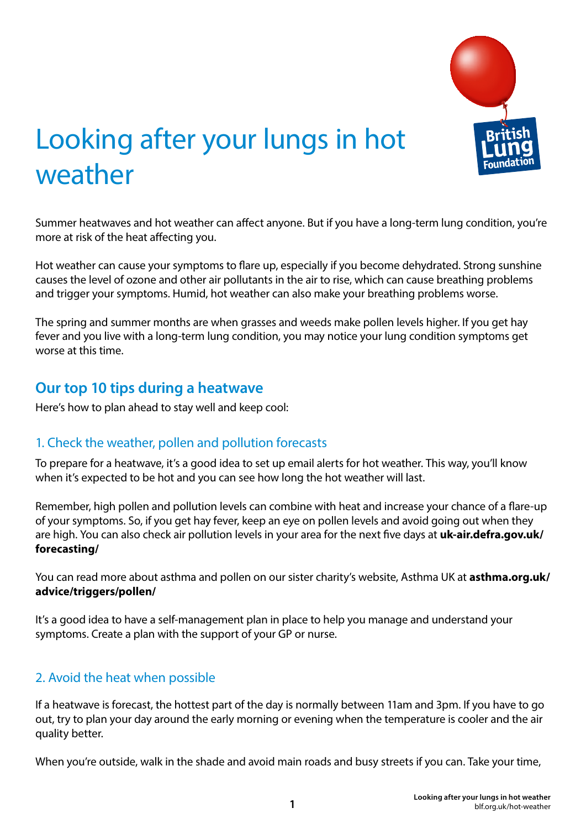

# Looking after your lungs in hot weather

Summer heatwaves and hot weather can affect anyone. But if you have a long-term lung condition, you're more at risk of the heat affecting you.

Hot weather can cause your symptoms to flare up, especially if you become dehydrated. Strong sunshine causes the level of ozone and other air pollutants in the air to rise, which can cause breathing problems and trigger your symptoms. Humid, hot weather can also make your breathing problems worse.

The spring and summer months are when grasses and weeds make pollen levels higher. If you get hay fever and you live with a long-term lung condition, you may notice your lung condition symptoms get worse at this time.

# **Our top 10 tips during a heatwave**

Here's how to plan ahead to stay well and keep cool:

#### 1. Check the weather, pollen and pollution forecasts

To prepare for a heatwave, it's a good idea to set up email alerts for hot weather. This way, you'll know when it's expected to be hot and you can see how long the hot weather will last.

Remember, high pollen and pollution levels can combine with heat and increase your chance of a flare-up of your symptoms. So, if you get hay fever, keep an eye on pollen levels and avoid going out when they are high. You can also check air pollution levels in your area for the next five days at **uk-air.defra.gov.uk/ forecasting/**

You can read more about asthma and pollen on our sister charity's website, Asthma UK at **asthma.org.uk/ advice/triggers/pollen/** 

It's a good idea to have a self-management plan in place to help you manage and understand your symptoms. Create a plan with the support of your GP or nurse.

#### 2. Avoid the heat when possible

If a heatwave is forecast, the hottest part of the day is normally between 11am and 3pm. If you have to go out, try to plan your day around the early morning or evening when the temperature is cooler and the air quality better.

When you're outside, walk in the shade and avoid main roads and busy streets if you can. Take your time,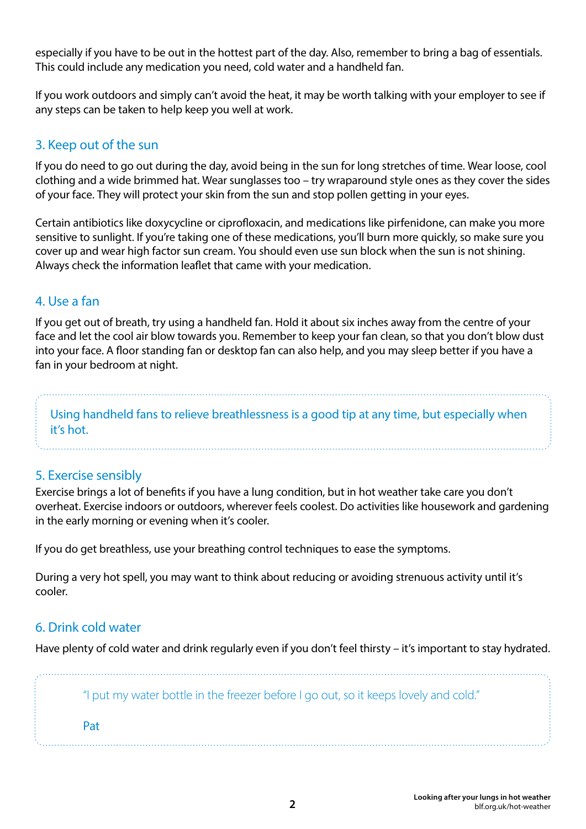especially if you have to be out in the hottest part of the day. Also, remember to bring a bag of essentials. This could include any medication you need, cold water and a handheld fan.

If you work outdoors and simply can't avoid the heat, it may be worth talking with your employer to see if any steps can be taken to help keep you well at work.

# 3. Keep out of the sun

If you do need to go out during the day, avoid being in the sun for long stretches of time. Wear loose, cool clothing and a wide brimmed hat. Wear sunglasses too – try wraparound style ones as they cover the sides of your face. They will protect your skin from the sun and stop pollen getting in your eyes.

Certain antibiotics like doxycycline or ciprofloxacin, and medications like pirfenidone, can make you more sensitive to sunlight. If you're taking one of these medications, you'll burn more quickly, so make sure you cover up and wear high factor sun cream. You should even use sun block when the sun is not shining. Always check the information leaflet that came with your medication.

# 4. Use a fan

If you get out of breath, try using a handheld fan. Hold it about six inches away from the centre of your face and let the cool air blow towards you. Remember to keep your fan clean, so that you don't blow dust into your face. A floor standing fan or desktop fan can also help, and you may sleep better if you have a fan in your bedroom at night.

Using handheld fans to relieve breathlessness is a good tip at any time, but especially when it's hot.

# 5. Exercise sensibly

Exercise brings a lot of benefits if you have a lung condition, but in hot weather take care you don't overheat. Exercise indoors or outdoors, wherever feels coolest. Do activities like housework and gardening in the early morning or evening when it's cooler.

If you do get breathless, use your breathing control techniques to ease the symptoms.

During a very hot spell, you may want to think about reducing or avoiding strenuous activity until it's cooler.

#### 6. Drink cold water

Have plenty of cold water and drink regularly even if you don't feel thirsty – it's important to stay hydrated.

"I put my water bottle in the freezer before I go out, so it keeps lovely and cold."

Pat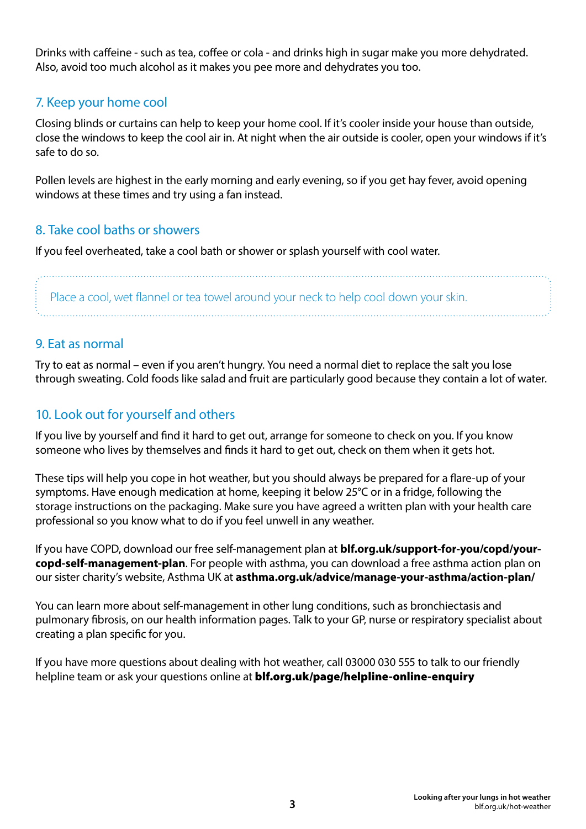Drinks with caffeine - such as tea, coffee or cola - and drinks high in sugar make you more dehydrated. Also, avoid too much alcohol as it makes you pee more and dehydrates you too.

# 7. Keep your home cool

Closing blinds or curtains can help to keep your home cool. If it's cooler inside your house than outside, close the windows to keep the cool air in. At night when the air outside is cooler, open your windows if it's safe to do so.

Pollen levels are highest in the early morning and early evening, so if you get hay fever, avoid opening windows at these times and try using a fan instead.

#### 8. Take cool baths or showers

If you feel overheated, take a cool bath or shower or splash yourself with cool water.

Place a cool, wet flannel or tea towel around your neck to help cool down your skin.

#### 9. Eat as normal

Try to eat as normal – even if you aren't hungry. You need a normal diet to replace the salt you lose through sweating. Cold foods like salad and fruit are particularly good because they contain a lot of water.

# 10. Look out for yourself and others

If you live by yourself and find it hard to get out, arrange for someone to check on you. If you know someone who lives by themselves and finds it hard to get out, check on them when it gets hot.

These tips will help you cope in hot weather, but you should always be prepared for a flare-up of your symptoms. Have enough medication at home, keeping it below 25°C or in a fridge, following the storage instructions on the packaging. Make sure you have agreed a written plan with your health care professional so you know what to do if you feel unwell in any weather.

If you have COPD, download our free self-management plan at **blf.org.uk/support-for-you/copd/yourcopd-self-management-plan**. For people with asthma, you can download a free asthma action plan on our sister charity's website, Asthma UK at **asthma.org.uk/advice/manage-your-asthma/action-plan/**

You can learn more about self-management in other lung conditions, such as bronchiectasis and pulmonary fibrosis, on our health information pages. Talk to your GP, nurse or respiratory specialist about creating a plan specific for you.

If you have more questions about dealing with hot weather, call 03000 030 555 to talk to our friendly helpline team or ask your questions online at **blf.org.uk/page/helpline-online-enquiry**